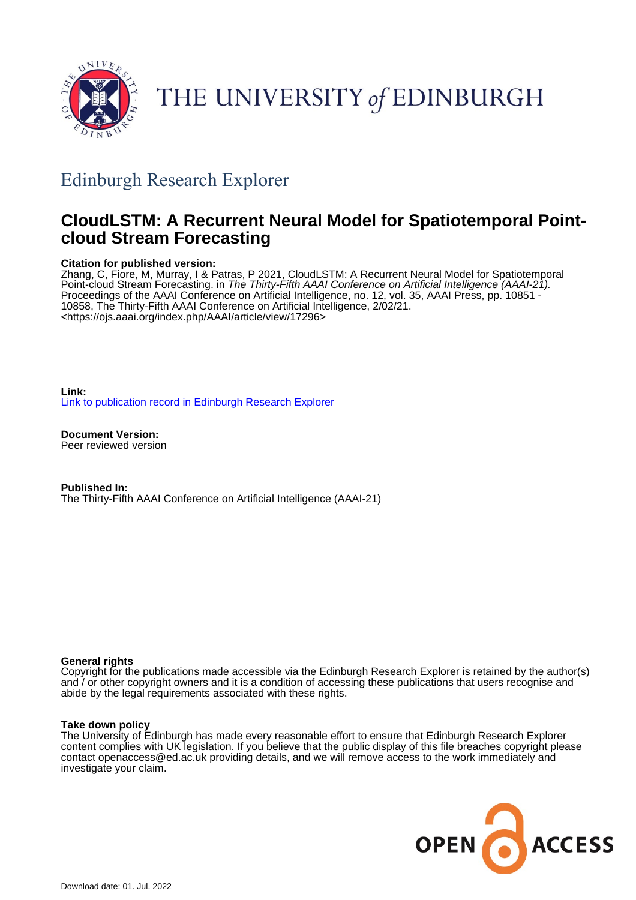

# THE UNIVERSITY of EDINBURGH

# Edinburgh Research Explorer

## **CloudLSTM: A Recurrent Neural Model for Spatiotemporal Pointcloud Stream Forecasting**

#### **Citation for published version:**

Zhang, C, Fiore, M, Murray, I & Patras, P 2021, CloudLSTM: A Recurrent Neural Model for Spatiotemporal Point-cloud Stream Forecasting. in The Thirty-Fifth AAAI Conference on Artificial Intelligence (AAAI-21). Proceedings of the AAAI Conference on Artificial Intelligence, no. 12, vol. 35, AAAI Press, pp. 10851 - 10858, The Thirty-Fifth AAAI Conference on Artificial Intelligence, 2/02/21. <<https://ojs.aaai.org/index.php/AAAI/article/view/17296>>

**Link:** [Link to publication record in Edinburgh Research Explorer](https://www.research.ed.ac.uk/en/publications/38f923fc-7bd3-46eb-b6e1-07451d3c327d)

**Document Version:** Peer reviewed version

**Published In:** The Thirty-Fifth AAAI Conference on Artificial Intelligence (AAAI-21)

#### **General rights**

Copyright for the publications made accessible via the Edinburgh Research Explorer is retained by the author(s) and / or other copyright owners and it is a condition of accessing these publications that users recognise and abide by the legal requirements associated with these rights.

#### **Take down policy**

The University of Edinburgh has made every reasonable effort to ensure that Edinburgh Research Explorer content complies with UK legislation. If you believe that the public display of this file breaches copyright please contact openaccess@ed.ac.uk providing details, and we will remove access to the work immediately and investigate your claim.

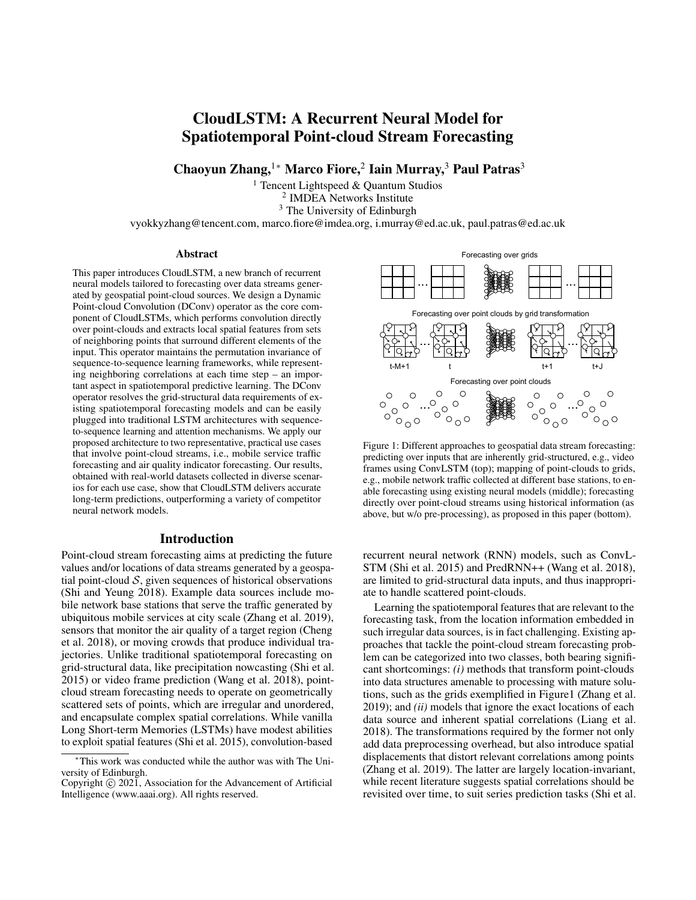### CloudLSTM: A Recurrent Neural Model for Spatiotemporal Point-cloud Stream Forecasting

Chaoyun Zhang,<sup>1</sup>\* Marco Fiore,<sup>2</sup> Iain Murray,<sup>3</sup> Paul Patras<sup>3</sup>

<sup>1</sup> Tencent Lightspeed  $&$  Ouantum Studios 2 IMDEA Networks Institute <sup>3</sup> The University of Edinburgh

vyokkyzhang@tencent.com, marco.fiore@imdea.org, i.murray@ed.ac.uk, paul.patras@ed.ac.uk

#### Abstract

This paper introduces CloudLSTM, a new branch of recurrent neural models tailored to forecasting over data streams generated by geospatial point-cloud sources. We design a Dynamic Point-cloud Convolution (DConv) operator as the core component of CloudLSTMs, which performs convolution directly over point-clouds and extracts local spatial features from sets of neighboring points that surround different elements of the input. This operator maintains the permutation invariance of sequence-to-sequence learning frameworks, while representing neighboring correlations at each time step – an important aspect in spatiotemporal predictive learning. The DConv operator resolves the grid-structural data requirements of existing spatiotemporal forecasting models and can be easily plugged into traditional LSTM architectures with sequenceto-sequence learning and attention mechanisms. We apply our proposed architecture to two representative, practical use cases that involve point-cloud streams, i.e., mobile service traffic forecasting and air quality indicator forecasting. Our results, obtained with real-world datasets collected in diverse scenarios for each use case, show that CloudLSTM delivers accurate long-term predictions, outperforming a variety of competitor neural network models.

#### Introduction

Point-cloud stream forecasting aims at predicting the future values and/or locations of data streams generated by a geospatial point-cloud  $S$ , given sequences of historical observations (Shi and Yeung 2018). Example data sources include mobile network base stations that serve the traffic generated by ubiquitous mobile services at city scale (Zhang et al. 2019), sensors that monitor the air quality of a target region (Cheng et al. 2018), or moving crowds that produce individual trajectories. Unlike traditional spatiotemporal forecasting on grid-structural data, like precipitation nowcasting (Shi et al. 2015) or video frame prediction (Wang et al. 2018), pointcloud stream forecasting needs to operate on geometrically scattered sets of points, which are irregular and unordered, and encapsulate complex spatial correlations. While vanilla Long Short-term Memories (LSTMs) have modest abilities to exploit spatial features (Shi et al. 2015), convolution-based



Figure 1: Different approaches to geospatial data stream forecasting: predicting over inputs that are inherently grid-structured, e.g., video frames using ConvLSTM (top); mapping of point-clouds to grids, e.g., mobile network traffic collected at different base stations, to enable forecasting using existing neural models (middle); forecasting directly over point-cloud streams using historical information (as above, but w/o pre-processing), as proposed in this paper (bottom).

recurrent neural network (RNN) models, such as ConvL-STM (Shi et al. 2015) and PredRNN++ (Wang et al. 2018), are limited to grid-structural data inputs, and thus inappropriate to handle scattered point-clouds.

Learning the spatiotemporal features that are relevant to the forecasting task, from the location information embedded in such irregular data sources, is in fact challenging. Existing approaches that tackle the point-cloud stream forecasting problem can be categorized into two classes, both bearing significant shortcomings: *(i)* methods that transform point-clouds into data structures amenable to processing with mature solutions, such as the grids exemplified in Figure1 (Zhang et al. 2019); and *(ii)* models that ignore the exact locations of each data source and inherent spatial correlations (Liang et al. 2018). The transformations required by the former not only add data preprocessing overhead, but also introduce spatial displacements that distort relevant correlations among points (Zhang et al. 2019). The latter are largely location-invariant, while recent literature suggests spatial correlations should be revisited over time, to suit series prediction tasks (Shi et al.

<sup>∗</sup>This work was conducted while the author was with The University of Edinburgh.

Copyright © 2021, Association for the Advancement of Artificial Intelligence (www.aaai.org). All rights reserved.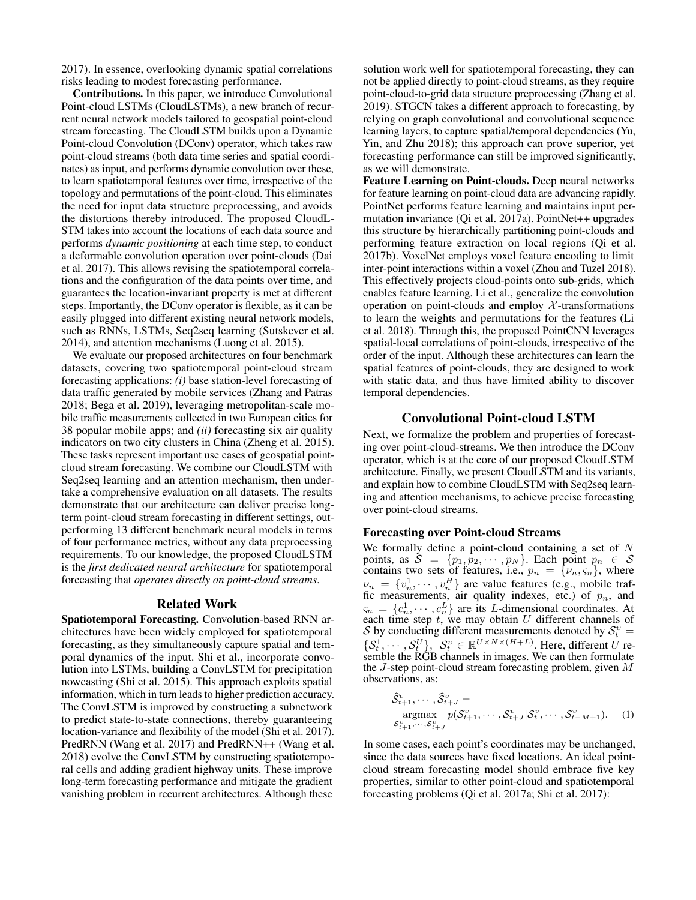2017). In essence, overlooking dynamic spatial correlations risks leading to modest forecasting performance.

Contributions. In this paper, we introduce Convolutional Point-cloud LSTMs (CloudLSTMs), a new branch of recurrent neural network models tailored to geospatial point-cloud stream forecasting. The CloudLSTM builds upon a Dynamic Point-cloud Convolution (DConv) operator, which takes raw point-cloud streams (both data time series and spatial coordinates) as input, and performs dynamic convolution over these, to learn spatiotemporal features over time, irrespective of the topology and permutations of the point-cloud. This eliminates the need for input data structure preprocessing, and avoids the distortions thereby introduced. The proposed CloudL-STM takes into account the locations of each data source and performs *dynamic positioning* at each time step, to conduct a deformable convolution operation over point-clouds (Dai et al. 2017). This allows revising the spatiotemporal correlations and the configuration of the data points over time, and guarantees the location-invariant property is met at different steps. Importantly, the DConv operator is flexible, as it can be easily plugged into different existing neural network models, such as RNNs, LSTMs, Seq2seq learning (Sutskever et al. 2014), and attention mechanisms (Luong et al. 2015).

We evaluate our proposed architectures on four benchmark datasets, covering two spatiotemporal point-cloud stream forecasting applications: *(i)* base station-level forecasting of data traffic generated by mobile services (Zhang and Patras 2018; Bega et al. 2019), leveraging metropolitan-scale mobile traffic measurements collected in two European cities for 38 popular mobile apps; and *(ii)* forecasting six air quality indicators on two city clusters in China (Zheng et al. 2015). These tasks represent important use cases of geospatial pointcloud stream forecasting. We combine our CloudLSTM with Seq2seq learning and an attention mechanism, then undertake a comprehensive evaluation on all datasets. The results demonstrate that our architecture can deliver precise longterm point-cloud stream forecasting in different settings, outperforming 13 different benchmark neural models in terms of four performance metrics, without any data preprocessing requirements. To our knowledge, the proposed CloudLSTM is the *first dedicated neural architecture* for spatiotemporal forecasting that *operates directly on point-cloud streams*.

#### Related Work

Spatiotemporal Forecasting. Convolution-based RNN architectures have been widely employed for spatiotemporal forecasting, as they simultaneously capture spatial and temporal dynamics of the input. Shi et al., incorporate convolution into LSTMs, building a ConvLSTM for precipitation nowcasting (Shi et al. 2015). This approach exploits spatial information, which in turn leads to higher prediction accuracy. The ConvLSTM is improved by constructing a subnetwork to predict state-to-state connections, thereby guaranteeing location-variance and flexibility of the model (Shi et al. 2017). PredRNN (Wang et al. 2017) and PredRNN++ (Wang et al. 2018) evolve the ConvLSTM by constructing spatiotemporal cells and adding gradient highway units. These improve long-term forecasting performance and mitigate the gradient vanishing problem in recurrent architectures. Although these

solution work well for spatiotemporal forecasting, they can not be applied directly to point-cloud streams, as they require point-cloud-to-grid data structure preprocessing (Zhang et al. 2019). STGCN takes a different approach to forecasting, by relying on graph convolutional and convolutional sequence learning layers, to capture spatial/temporal dependencies (Yu, Yin, and Zhu 2018); this approach can prove superior, yet forecasting performance can still be improved significantly, as we will demonstrate.

Feature Learning on Point-clouds. Deep neural networks for feature learning on point-cloud data are advancing rapidly. PointNet performs feature learning and maintains input permutation invariance (Qi et al. 2017a). PointNet++ upgrades this structure by hierarchically partitioning point-clouds and performing feature extraction on local regions (Qi et al. 2017b). VoxelNet employs voxel feature encoding to limit inter-point interactions within a voxel (Zhou and Tuzel 2018). This effectively projects cloud-points onto sub-grids, which enables feature learning. Li et al., generalize the convolution operation on point-clouds and employ  $\mathcal X$ -transformations to learn the weights and permutations for the features (Li et al. 2018). Through this, the proposed PointCNN leverages spatial-local correlations of point-clouds, irrespective of the order of the input. Although these architectures can learn the spatial features of point-clouds, they are designed to work with static data, and thus have limited ability to discover temporal dependencies.

#### Convolutional Point-cloud LSTM

Next, we formalize the problem and properties of forecasting over point-cloud-streams. We then introduce the DConv operator, which is at the core of our proposed CloudLSTM architecture. Finally, we present CloudLSTM and its variants, and explain how to combine CloudLSTM with Seq2seq learning and attention mechanisms, to achieve precise forecasting over point-cloud streams.

#### Forecasting over Point-cloud Streams

We formally define a point-cloud containing a set of  $N$ points, as  $\mathcal{S} = \{p_1, p_2, \cdots, p_N\}$ . Each point  $p_n \in \mathcal{S}$ contains two sets of features, i.e.,  $p_n = \{v_n, \varsigma_n\}$ , where  $\nu_n = \{v_n^1, \dots, v_n^H\}$  are value features (e.g., mobile traffic measurements, air quality indexes, etc.) of  $p_n$ , and  $\zeta_n = \{c_n^1, \dots, c_n^L\}$  are its *L*-dimensional coordinates. At each time step  $t$ , we may obtain U different channels of S by conducting different measurements denoted by  $S_t^v =$  $\{S_t^1, \dots, S_t^U\},\ S_t^v \in \mathbb{R}^{U \times N \times (H+L)}$ . Here, different U resemble the RGB channels in images. We can then formulate the J-step point-cloud stream forecasting problem, given M observations, as:

$$
\widehat{\mathcal{S}}_{t+1}^v, \cdots, \widehat{\mathcal{S}}_{t+J}^v = \underset{\mathcal{S}_{t+1}^v, \cdots, \mathcal{S}_{t+J}^v}{\text{argmax}} p(\mathcal{S}_{t+1}^v, \cdots, \mathcal{S}_{t+J}^v | \mathcal{S}_t^v, \cdots, \mathcal{S}_{t-M+1}^v). \tag{1}
$$

In some cases, each point's coordinates may be unchanged, since the data sources have fixed locations. An ideal pointcloud stream forecasting model should embrace five key properties, similar to other point-cloud and spatiotemporal forecasting problems (Qi et al. 2017a; Shi et al. 2017):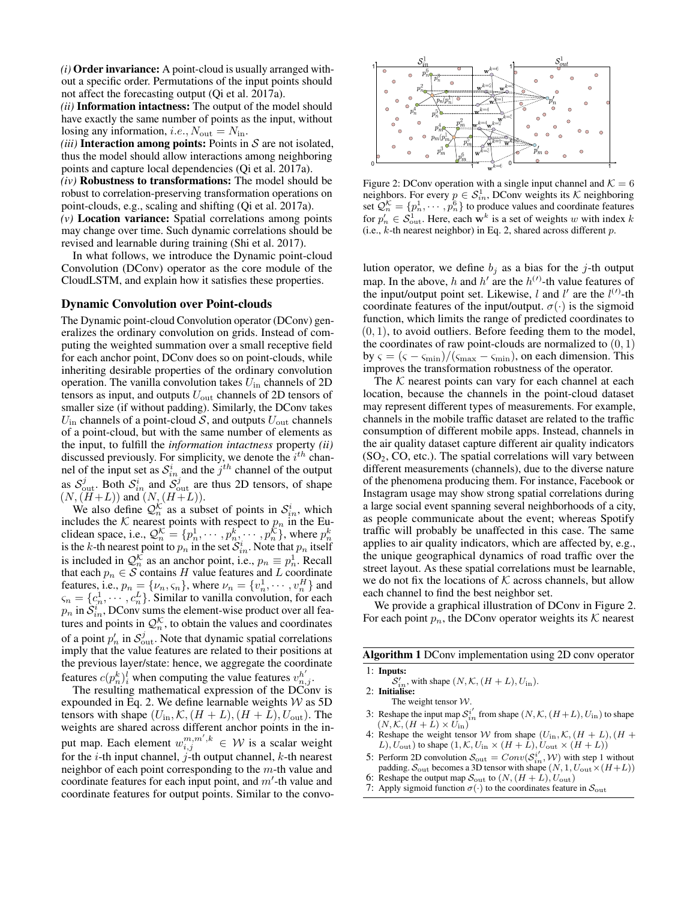*(i)* Order invariance: A point-cloud is usually arranged without a specific order. Permutations of the input points should not affect the forecasting output (Qi et al. 2017a).

*(ii)* Information intactness: The output of the model should have exactly the same number of points as the input, without losing any information, *i.e.*,  $N_{\text{out}} = N_{\text{in}}$ .

*(iii)* Interaction among points: Points in  $S$  are not isolated, thus the model should allow interactions among neighboring points and capture local dependencies (Qi et al. 2017a).

*(iv)* Robustness to transformations: The model should be robust to correlation-preserving transformation operations on point-clouds, e.g., scaling and shifting (Qi et al. 2017a). *(v)* Location variance: Spatial correlations among points

may change over time. Such dynamic correlations should be revised and learnable during training (Shi et al. 2017).

In what follows, we introduce the Dynamic point-cloud Convolution (DConv) operator as the core module of the CloudLSTM, and explain how it satisfies these properties.

#### Dynamic Convolution over Point-clouds

The Dynamic point-cloud Convolution operator (DConv) generalizes the ordinary convolution on grids. Instead of computing the weighted summation over a small receptive field for each anchor point, DConv does so on point-clouds, while inheriting desirable properties of the ordinary convolution operation. The vanilla convolution takes  $U_{\text{in}}$  channels of 2D tensors as input, and outputs  $U_{\text{out}}$  channels of 2D tensors of smaller size (if without padding). Similarly, the DConv takes  $U_{\text{in}}$  channels of a point-cloud S, and outputs  $U_{\text{out}}$  channels of a point-cloud, but with the same number of elements as the input, to fulfill the *information intactness* property *(ii)* discussed previously. For simplicity, we denote the  $i^{th}$  channel of the input set as  $S_{in}^i$  and the  $j^{th}$  channel of the output as  $S_{\text{out}}^j$ . Both  $S_{in}^i$  and  $S_{\text{out}}^j$  are thus 2D tensors, of shape  $(N,(H+L))$  and  $(N,(H+L))$ .

We also define  $\mathcal{Q}_n^{\mathcal{K}}$  as a subset of points in  $\mathcal{S}_{in}^i$ , which includes the K nearest points with respect to  $p_n$  in the Euclidean space, i.e.,  $\mathcal{Q}_n^{\mathcal{K}} = \{p_n^1, \cdots, p_n^k, \cdots, p_n^{\mathcal{K}}\}$ , where  $p_n^k$ is the k-th nearest point to  $p_n$  in the set  $\mathcal{S}^i_{in}$ . Note that  $p_n$  itself is included in  $\mathcal{Q}_n^{\mathcal{K}}$  as an anchor point, i.e.,  $p_n \equiv p_n^1$ . Recall that each  $p_n \in \mathcal{S}$  contains H value features and L coordinate features, i.e.,  $p_n = \{v_n, \varsigma_n\}$ , where  $v_n = \{v_n^1, \dots, v_n^H\}$  and  $\varsigma_n = \{c_n^1, \cdots, c_n^L\}$ . Similar to vanilla convolution, for each  $p_n$  in  $\widetilde{S}_{in}^i$ , DConv sums the element-wise product over all features and points in  $\mathcal{Q}_n^{\mathcal{K}}$ , to obtain the values and coordinates of a point  $p'_n$  in  $\mathcal{S}_{\text{out}}^j$ . Note that dynamic spatial correlations imply that the value features are related to their positions at the previous layer/state: hence, we aggregate the coordinate features  $c(p_n^k)_i^l$  when computing the value features  $v_{n,j}^{h'}$ .

The resulting mathematical expression of the DConv is expounded in Eq. 2. We define learnable weights  $W$  as 5D tensors with shape  $(U_{\text{in}}, \mathcal{K}, (H + L), (H + L), U_{\text{out}})$ . The weights are shared across different anchor points in the input map. Each element  $w_{i,j}^{m,m',k} \in \mathcal{W}$  is a scalar weight for the *i*-th input channel, *j*-th output channel, *k*-th nearest neighbor of each point corresponding to the m-th value and coordinate features for each input point, and  $m'$ -th value and coordinate features for output points. Similar to the convo-



Figure 2: DConv operation with a single input channel and  $K = 6$ neighbors. For every  $p \in S^1_{in}$ , DConv weights its K neighboring set  $\mathcal{Q}_n^{\mathcal{K}} = \{p_n^1, \cdots, p_n^6\}$  to produce values and coordinate features for  $p'_n \in S^1_{\text{out}}$ . Here, each w<sup>k</sup> is a set of weights w with index k (i.e.,  $k$ -th nearest neighbor) in Eq. 2, shared across different  $p$ .

lution operator, we define  $b_j$  as a bias for the j-th output map. In the above, h and h' are the  $h^{(1)}$ -th value features of the input/output point set. Likewise, l and l' are the  $l^{(1)}$ -th coordinate features of the input/output.  $\sigma(\cdot)$  is the sigmoid function, which limits the range of predicted coordinates to  $(0, 1)$ , to avoid outliers. Before feeding them to the model, the coordinates of raw point-clouds are normalized to  $(0, 1)$ by  $\varsigma = (\varsigma - \varsigma_{\min})/(\varsigma_{\max} - \varsigma_{\min})$ , on each dimension. This improves the transformation robustness of the operator.

The  $K$  nearest points can vary for each channel at each location, because the channels in the point-cloud dataset may represent different types of measurements. For example, channels in the mobile traffic dataset are related to the traffic consumption of different mobile apps. Instead, channels in the air quality dataset capture different air quality indicators  $(SO<sub>2</sub>, CO, etc.).$  The spatial correlations will vary between different measurements (channels), due to the diverse nature of the phenomena producing them. For instance, Facebook or Instagram usage may show strong spatial correlations during a large social event spanning several neighborhoods of a city, as people communicate about the event; whereas Spotify traffic will probably be unaffected in this case. The same applies to air quality indicators, which are affected by, e.g., the unique geographical dynamics of road traffic over the street layout. As these spatial correlations must be learnable, we do not fix the locations of  $K$  across channels, but allow each channel to find the best neighbor set.

We provide a graphical illustration of DConv in Figure 2. For each point  $p_n$ , the DConv operator weights its K nearest

Algorithm 1 DConv implementation using 2D conv operator

1: Inputs:  $S'_{in}$ , with shape  $(N, \mathcal{K}, (H+L), U_{in})$ .<br>2: **Initialise:** 

The weight tensor  $W$ .

- 3: Reshape the input map  $S_{in}^{i'}$  from shape  $(N, K, (H+L), U_{in})$  to shape  $(N, \mathcal{K}, (H+\hat{L}) \times \hat{U}_{\text{in}})$
- 4: Reshape the weight tensor W from shape  $(U_{\text{in}}, \mathcal{K}, (H + L), (H + L))$  $L$ ),  $U_{\text{out}}$ ) to shape  $(1, \mathcal{K}, U_{\text{in}} \times (H + L), U_{\text{out}} \times (H + L))$
- 5: Perform 2D convolution  $S_{\text{out}} = Conv(S_{in}^{i'}, W)$  with step 1 without padding.  $S_{\text{out}}$  becomes a 3D tensor with shape  $(N, 1, U_{\text{out}} \times (H+L))$
- 6: Reshape the output map  $S_{\text{out}}$  to  $(N, (H + L), U_{\text{out}})$
- 7: Apply sigmoid function  $\sigma(\cdot)$  to the coordinates feature in  $\mathcal{S}_{\text{out}}$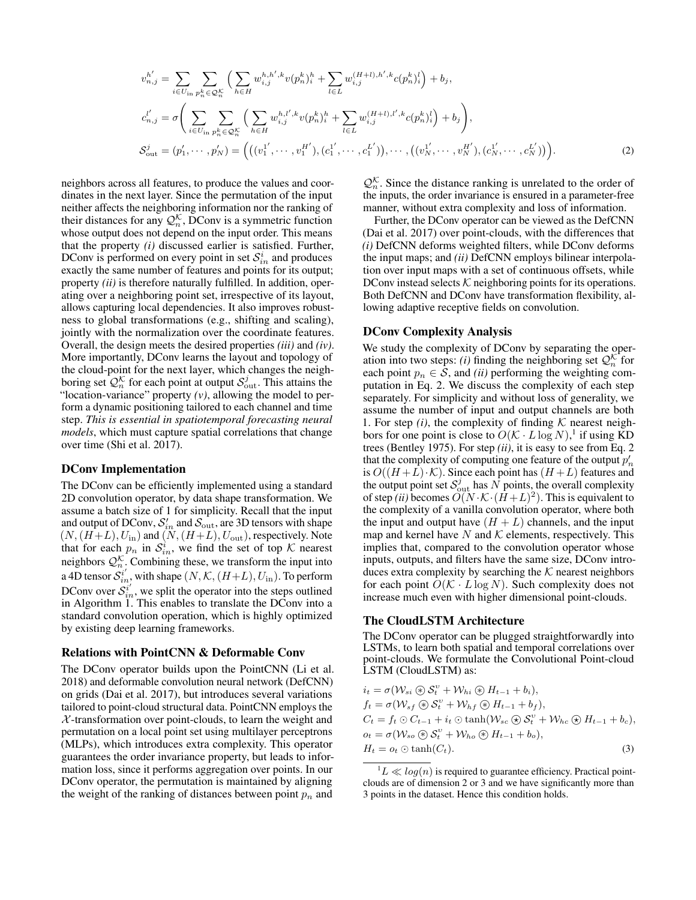$$
v_{n,j}^{h'} = \sum_{i \in U_{\text{in}}} \sum_{p_n^k \in \mathcal{Q}_n^K} \Big( \sum_{h \in H} w_{i,j}^{h,h',k} v(p_n^h)_i^h + \sum_{l \in L} w_{i,j}^{(H+l),h',k} c(p_n^h)_i^l \Big) + b_j,
$$
  
\n
$$
c_{n,j}^{l'} = \sigma \Bigg( \sum_{i \in U_{\text{in}}} \sum_{p_n^k \in \mathcal{Q}_n^K} \Big( \sum_{h \in H} w_{i,j}^{h,l',k} v(p_n^h)_i^h + \sum_{l \in L} w_{i,j}^{(H+l),l',k} c(p_n^h)_i^l \Big) + b_j \Bigg),
$$
  
\n
$$
S_{\text{out}}^j = (p_1', \cdots, p_N') = \Big( \big( (v_1^{1'}, \cdots, v_1^{H'}), (c_1^{1'}, \cdots, c_1^{L'}), \cdots, ((v_N^{1'}, \cdots, v_N^{H'}), (c_N^1, \cdots, c_N^{L'})) \Big).
$$
\n(2)

neighbors across all features, to produce the values and coordinates in the next layer. Since the permutation of the input neither affects the neighboring information nor the ranking of their distances for any  $\mathcal{Q}_n^{\mathcal{K}}$ , DConv is a symmetric function whose output does not depend on the input order. This means that the property *(i)* discussed earlier is satisfied. Further, DConv is performed on every point in set  $\mathcal{S}_{in}^i$  and produces exactly the same number of features and points for its output; property *(ii)* is therefore naturally fulfilled. In addition, operating over a neighboring point set, irrespective of its layout, allows capturing local dependencies. It also improves robustness to global transformations (e.g., shifting and scaling), jointly with the normalization over the coordinate features. Overall, the design meets the desired properties *(iii)* and *(iv)*. More importantly, DConv learns the layout and topology of the cloud-point for the next layer, which changes the neighboring set  $\mathcal{Q}_n^{\mathcal{K}}$  for each point at output  $\mathcal{S}_{\text{out}}^j$ . This attains the "location-variance" property *(v)*, allowing the model to perform a dynamic positioning tailored to each channel and time step. *This is essential in spatiotemporal forecasting neural models*, which must capture spatial correlations that change over time (Shi et al. 2017).

#### DConv Implementation

The DConv can be efficiently implemented using a standard 2D convolution operator, by data shape transformation. We assume a batch size of 1 for simplicity. Recall that the input and output of DConv,  $S'_{in}$  and  $S_{out}$ , are 3D tensors with shape  $(N,(H+L), U_{\text{in}})$  and  $(N,(H+L), U_{\text{out}})$ , respectively. Note that for each  $p_n$  in  $\mathcal{S}_{in}^i$ , we find the set of top K nearest neighbors  $\mathcal{Q}_{n}^{\mathcal{K}}$ . Combining these, we transform the input into a 4D tensor  $\mathcal{S}_{in}^{i'}$ , with shape  $(N, \mathcal{K}, (H+L), U_{in})$ . To perform DConv over  $S_{in}^{i'}$ , we split the operator into the steps outlined in Algorithm 1. This enables to translate the DConv into a standard convolution operation, which is highly optimized by existing deep learning frameworks.

#### Relations with PointCNN & Deformable Conv

The DConv operator builds upon the PointCNN (Li et al. 2018) and deformable convolution neural network (DefCNN) on grids (Dai et al. 2017), but introduces several variations tailored to point-cloud structural data. PointCNN employs the  $X$ -transformation over point-clouds, to learn the weight and permutation on a local point set using multilayer perceptrons (MLPs), which introduces extra complexity. This operator guarantees the order invariance property, but leads to information loss, since it performs aggregation over points. In our DConv operator, the permutation is maintained by aligning the weight of the ranking of distances between point  $p_n$  and

 $Q_n^{\mathcal{K}}$ . Since the distance ranking is unrelated to the order of the inputs, the order invariance is ensured in a parameter-free manner, without extra complexity and loss of information.

Further, the DConv operator can be viewed as the DefCNN (Dai et al. 2017) over point-clouds, with the differences that *(i)* DefCNN deforms weighted filters, while DConv deforms the input maps; and *(ii)* DefCNN employs bilinear interpolation over input maps with a set of continuous offsets, while DConv instead selects  $K$  neighboring points for its operations. Both DefCNN and DConv have transformation flexibility, allowing adaptive receptive fields on convolution.

#### DConv Complexity Analysis

We study the complexity of DConv by separating the operation into two steps: *(i)* finding the neighboring set  $Q_n^{\mathcal{K}}$  for each point  $p_n \in S$ , and *(ii)* performing the weighting computation in Eq. 2. We discuss the complexity of each step separately. For simplicity and without loss of generality, we assume the number of input and output channels are both 1. For step  $(i)$ , the complexity of finding  $K$  nearest neighbors for one point is close to  $O(K \cdot L \log N)^{1}$  if using KD trees (Bentley 1975). For step *(ii)*, it is easy to see from Eq. 2 that the complexity of computing one feature of the output  $p_n^{\prime}$ is  $O((H+L)\cdot\mathcal{K})$ . Since each point has  $(H+L)$  features and the output point set  $S^j_{\text{out}}$  has N points, the overall complexity of step *(ii)* becomes  $O(N \cdot K \cdot (\hat{H} + L)^2)$ . This is equivalent to the complexity of a vanilla convolution operator, where both the input and output have  $(H + L)$  channels, and the input map and kernel have  $N$  and  $K$  elements, respectively. This implies that, compared to the convolution operator whose inputs, outputs, and filters have the same size, DConv introduces extra complexity by searching the  $K$  nearest neighbors for each point  $O(\mathcal{K} \cdot L \log N)$ . Such complexity does not increase much even with higher dimensional point-clouds.

#### The CloudLSTM Architecture

The DConv operator can be plugged straightforwardly into LSTMs, to learn both spatial and temporal correlations over point-clouds. We formulate the Convolutional Point-cloud LSTM (CloudLSTM) as:

$$
i_t = \sigma(W_{si} \otimes S_t^v + W_{hi} \otimes H_{t-1} + b_i),
$$
  
\n
$$
f_t = \sigma(W_{sf} \otimes S_t^v + W_{hf} \otimes H_{t-1} + b_f),
$$
  
\n
$$
C_t = f_t \odot C_{t-1} + i_t \odot \tanh(W_{sc} \otimes S_t^v + W_{hc} \otimes H_{t-1} + b_c),
$$
  
\n
$$
o_t = \sigma(W_{so} \otimes S_t^v + W_{ho} \otimes H_{t-1} + b_o),
$$
  
\n
$$
H_t = o_t \odot \tanh(C_t).
$$
  
\n(3)

 $1_L \ll log(n)$  is required to guarantee efficiency. Practical pointclouds are of dimension 2 or 3 and we have significantly more than 3 points in the dataset. Hence this condition holds.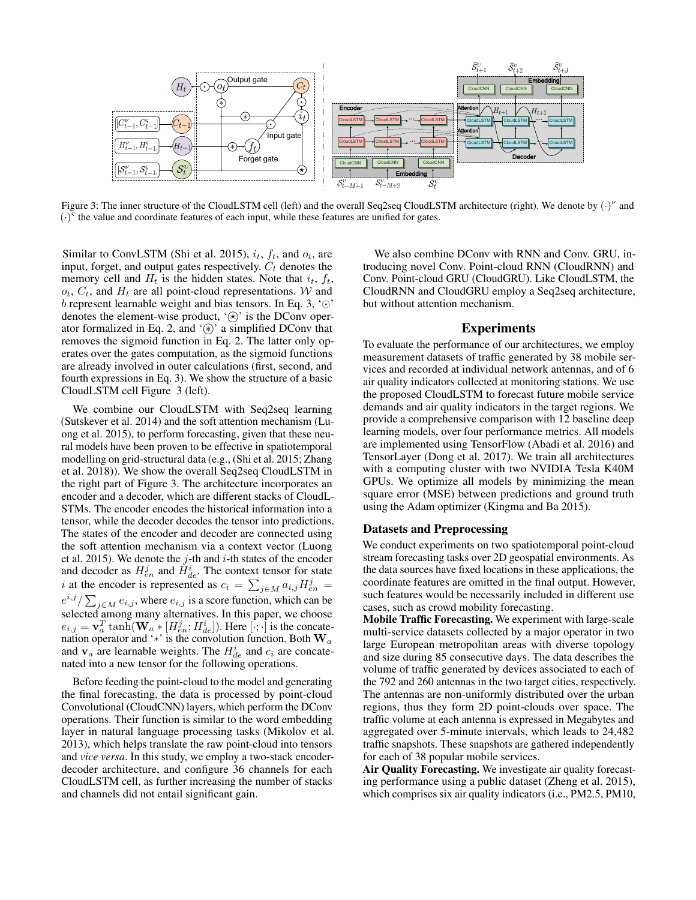

Figure 3: The inner structure of the CloudLSTM cell (left) and the overall Seq2seq CloudLSTM architecture (right). We denote by  $(\cdot)^{\nu}$  and  $(\cdot)^{\overline{\varsigma}}$  the value and coordinate features of each input, while these features are unified for gates.

Similar to ConvLSTM (Shi et al. 2015),  $i_t$ ,  $f_t$ , and  $o_t$ , are input, forget, and output gates respectively.  $C_t$  denotes the memory cell and  $H_t$  is the hidden states. Note that  $i_t$ ,  $f_t$ ,  $o_t$ ,  $C_t$ , and  $H_t$  are all point-cloud representations. W and b represent learnable weight and bias tensors. In Eq. 3,  $\degree$ ° denotes the element-wise product, ' $\circledast$ ' is the DConv operator formalized in Eq. 2, and  $(\hat{\ast})$  a simplified DConv that removes the sigmoid function in Eq. 2. The latter only operates over the gates computation, as the sigmoid functions are already involved in outer calculations (first, second, and fourth expressions in Eq. 3). We show the structure of a basic CloudLSTM cell Figure 3 (left).

We combine our CloudLSTM with Seq2seq learning (Sutskever et al. 2014) and the soft attention mechanism (Luong et al. 2015), to perform forecasting, given that these neural models have been proven to be effective in spatiotemporal modelling on grid-structural data (e.g., (Shi et al. 2015; Zhang et al. 2018)). We show the overall Seq2seq CloudLSTM in the right part of Figure 3. The architecture incorporates an encoder and a decoder, which are different stacks of CloudL-STMs. The encoder encodes the historical information into a tensor, while the decoder decodes the tensor into predictions. The states of the encoder and decoder are connected using the soft attention mechanism via a context vector (Luong et al. 2015). We denote the  $j$ -th and  $i$ -th states of the encoder and decoder as  $H_{en}^j$  and  $H_{de}^i$ . The context tensor for state i at the encoder is represented as  $c_i = \sum_{j \in M} a_{i,j} H_{en}^j =$  $e^{i,j} / \sum_{j \in M} e_{i,j}$ , where  $e_{i,j}$  is a score function, which can be selected among many alternatives. In this paper, we choose  $e_{i,j} = \mathbf{v}_a^T \tanh(\mathbf{W}_a * [H_{en}^j; H_{de}^i])$ . Here  $[\cdot; \cdot]$  is the concatenation operator and ' $*$ ' is the convolution function. Both  $\mathbf{W}_a$ and  $\mathbf{v}_a$  are learnable weights. The  $H_{de}^i$  and  $c_i$  are concatenated into a new tensor for the following operations.

Before feeding the point-cloud to the model and generating the final forecasting, the data is processed by point-cloud Convolutional (CloudCNN) layers, which perform the DConv operations. Their function is similar to the word embedding layer in natural language processing tasks (Mikolov et al. 2013), which helps translate the raw point-cloud into tensors and *vice versa*. In this study, we employ a two-stack encoderdecoder architecture, and configure 36 channels for each CloudLSTM cell, as further increasing the number of stacks and channels did not entail significant gain.

We also combine DConv with RNN and Conv. GRU, introducing novel Conv. Point-cloud RNN (CloudRNN) and Conv. Point-cloud GRU (CloudGRU). Like CloudLSTM, the CloudRNN and CloudGRU employ a Seq2seq architecture, but without attention mechanism.

#### Experiments

To evaluate the performance of our architectures, we employ measurement datasets of traffic generated by 38 mobile services and recorded at individual network antennas, and of 6 air quality indicators collected at monitoring stations. We use the proposed CloudLSTM to forecast future mobile service demands and air quality indicators in the target regions. We provide a comprehensive comparison with 12 baseline deep learning models, over four performance metrics. All models are implemented using TensorFlow (Abadi et al. 2016) and TensorLayer (Dong et al. 2017). We train all architectures with a computing cluster with two NVIDIA Tesla K40M GPUs. We optimize all models by minimizing the mean square error (MSE) between predictions and ground truth using the Adam optimizer (Kingma and Ba 2015).

#### Datasets and Preprocessing

We conduct experiments on two spatiotemporal point-cloud stream forecasting tasks over 2D geospatial environments. As the data sources have fixed locations in these applications, the coordinate features are omitted in the final output. However, such features would be necessarily included in different use cases, such as crowd mobility forecasting.

Mobile Traffic Forecasting. We experiment with large-scale multi-service datasets collected by a major operator in two large European metropolitan areas with diverse topology and size during 85 consecutive days. The data describes the volume of traffic generated by devices associated to each of the 792 and 260 antennas in the two target cities, respectively. The antennas are non-uniformly distributed over the urban regions, thus they form 2D point-clouds over space. The traffic volume at each antenna is expressed in Megabytes and aggregated over 5-minute intervals, which leads to 24,482 traffic snapshots. These snapshots are gathered independently for each of 38 popular mobile services.

Air Quality Forecasting. We investigate air quality forecasting performance using a public dataset (Zheng et al. 2015), which comprises six air quality indicators (i.e., PM2.5, PM10,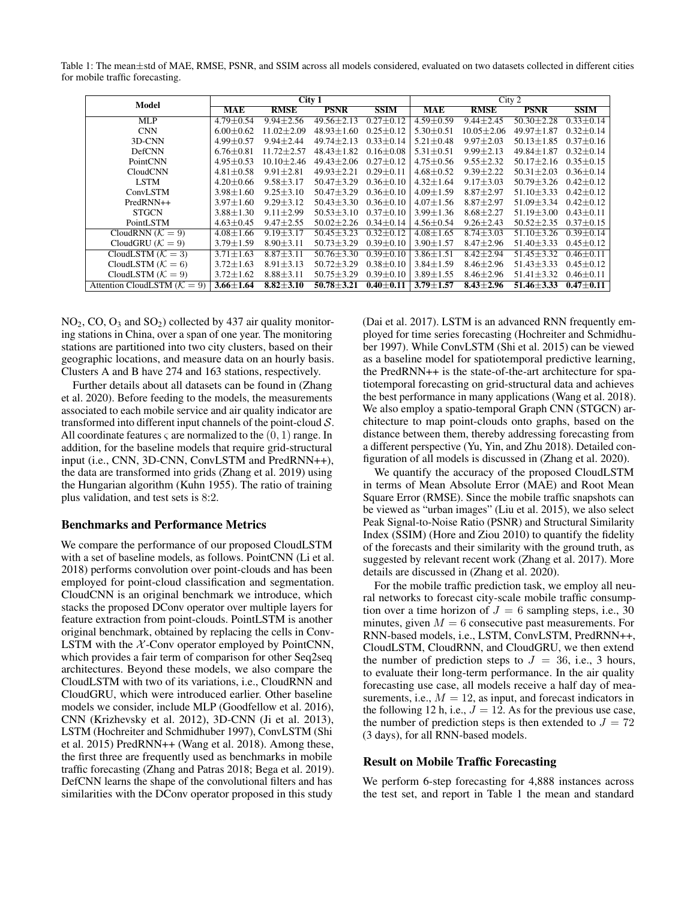Table 1: The mean±std of MAE, RMSE, PSNR, and SSIM across all models considered, evaluated on two datasets collected in different cities for mobile traffic forecasting.

| <b>Model</b>                  | City 1          |                  |                  |                 | City 2          |                 |                  |                 |
|-------------------------------|-----------------|------------------|------------------|-----------------|-----------------|-----------------|------------------|-----------------|
|                               | <b>MAE</b>      | <b>RMSE</b>      | <b>PSNR</b>      | <b>SSIM</b>     | <b>MAE</b>      | <b>RMSE</b>     | <b>PSNR</b>      | <b>SSIM</b>     |
| <b>MLP</b>                    | $4.79 \pm 0.54$ | $9.94 \pm 2.56$  | $49.56 \pm 2.13$ | $0.27 \pm 0.12$ | $4.59 \pm 0.59$ | $9.44 \pm 2.45$ | $50.30 \pm 2.28$ | $0.33 \pm 0.14$ |
| <b>CNN</b>                    | $6.00 + 0.62$   | $11.02 + 2.09$   | $48.93 + 1.60$   | $0.25 + 0.12$   | $5.30 \pm 0.51$ | $10.05 + 2.06$  | $49.97 + 1.87$   | $0.32 + 0.14$   |
| 3D-CNN                        | $4.99 \pm 0.57$ | $9.94 \pm 2.44$  | $49.74 \pm 2.13$ | $0.33 \pm 0.14$ | $5.21 \pm 0.48$ | $9.97 \pm 2.03$ | $50.13 \pm 1.85$ | $0.37 \pm 0.16$ |
| <b>DefCNN</b>                 | $6.76 \pm 0.81$ | $11.72 \pm 2.57$ | $48.43 \pm 1.82$ | $0.16 \pm 0.08$ | $5.31 \pm 0.51$ | $9.99 \pm 2.13$ | $49.84 \pm 1.87$ | $0.32 \pm 0.14$ |
| PointCNN                      | $4.95 \pm 0.53$ | $10.10 \pm 2.46$ | $49.43 \pm 2.06$ | $0.27 \pm 0.12$ | $4.75 \pm 0.56$ | $9.55 \pm 2.32$ | $50.17 \pm 2.16$ | $0.35 \pm 0.15$ |
| CloudCNN                      | $4.81 \pm 0.58$ | $9.91 \pm 2.81$  | $49.93 \pm 2.21$ | $0.29 \pm 0.11$ | $4.68 \pm 0.52$ | $9.39 \pm 2.22$ | $50.31 \pm 2.03$ | $0.36 \pm 0.14$ |
| <b>LSTM</b>                   | $4.20 \pm 0.66$ | $9.58 \pm 3.17$  | $50.47 \pm 3.29$ | $0.36 \pm 0.10$ | $4.32 \pm 1.64$ | $9.17 \pm 3.03$ | $50.79 \pm 3.26$ | $0.42 \pm 0.12$ |
| ConvLSTM                      | $3.98 \pm 1.60$ | $9.25 \pm 3.10$  | $50.47 + 3.29$   | $0.36 \pm 0.10$ | $4.09 \pm 1.59$ | $8.87 \pm 2.97$ | $51.10 \pm 3.33$ | $0.42 \pm 0.12$ |
| PredRNN++                     | $3.97 + 1.60$   | $9.29 \pm 3.12$  | $50.43 + 3.30$   | $0.36 \pm 0.10$ | $4.07 \pm 1.56$ | $8.87 + 2.97$   | $51.09 \pm 3.34$ | $0.42 \pm 0.12$ |
| <b>STGCN</b>                  | $3.88 \pm 1.30$ | $9.11 \pm 2.99$  | $50.53 \pm 3.10$ | $0.37 + 0.10$   | $3.99 \pm 1.36$ | $8.68 \pm 2.27$ | $51.19 + 3.00$   | $0.43 + 0.11$   |
| PointLSTM                     | $4.63 \pm 0.45$ | $9.47 \pm 2.55$  | $50.02 \pm 2.26$ | $0.34 \pm 0.14$ | $4.56 \pm 0.54$ | $9.26 \pm 2.43$ | $50.52 \pm 2.35$ | $0.37 \pm 0.15$ |
| CloudRNN $(K = 9)$            | $4.08 \pm 1.66$ | $9.19 + 3.17$    | $50.45 + 3.23$   | $0.32 + 0.12$   | $4.08 \pm 1.65$ | $8.74 + 3.03$   | $51.10 + 3.26$   | $0.39 \pm 0.14$ |
| CloudGRU ( $K = 9$ )          | $3.79 \pm 1.59$ | $8.90 \pm 3.11$  | $50.73 \pm 3.29$ | $0.39 \pm 0.10$ | $3.90 \pm 1.57$ | $8.47 \pm 2.96$ | $51.40 \pm 3.33$ | $0.45 \pm 0.12$ |
| CloudLSTM $(K = 3)$           | $3.71 \pm 1.63$ | $8.87 + 3.11$    | $50.76 + 3.30$   | $0.39 + 0.10$   | $3.86 \pm 1.51$ | $8.42 \pm 2.94$ | $51.45 + 3.32$   | $0.46 \pm 0.11$ |
| CloudLSTM $(K = 6)$           | $3.72 \pm 1.63$ | $8.91 \pm 3.13$  | $50.72 \pm 3.29$ | $0.38 \pm 0.10$ | $3.84 \pm 1.59$ | $8.46 \pm 2.96$ | $51.43 \pm 3.33$ | $0.45 \pm 0.12$ |
| CloudLSTM $(K = 9)$           | $3.72 \pm 1.62$ | $8.88 \pm 3.11$  | $50.75 \pm 3.29$ | $0.39 \pm 0.10$ | $3.89 \pm 1.55$ | $8.46 \pm 2.96$ | $51.41 \pm 3.32$ | $0.46 \pm 0.11$ |
| Attention CloudLSTM $(K = 9)$ | $3.66 \pm 1.64$ | $8.82 + 3.10$    | $50.78 \pm 3.21$ | $0.40 \pm 0.11$ | $3.79 \pm 1.57$ | $8.43 \pm 2.96$ | $51.46 \pm 3.33$ | $0.47 \pm 0.11$ |

 $NO<sub>2</sub>, CO, O<sub>3</sub>$  and  $SO<sub>2</sub>$ ) collected by 437 air quality monitoring stations in China, over a span of one year. The monitoring stations are partitioned into two city clusters, based on their geographic locations, and measure data on an hourly basis. Clusters A and B have 274 and 163 stations, respectively.

Further details about all datasets can be found in (Zhang et al. 2020). Before feeding to the models, the measurements associated to each mobile service and air quality indicator are transformed into different input channels of the point-cloud  $S$ . All coordinate features  $\varsigma$  are normalized to the  $(0, 1)$  range. In addition, for the baseline models that require grid-structural input (i.e., CNN, 3D-CNN, ConvLSTM and PredRNN++), the data are transformed into grids (Zhang et al. 2019) using the Hungarian algorithm (Kuhn 1955). The ratio of training plus validation, and test sets is 8:2.

#### Benchmarks and Performance Metrics

We compare the performance of our proposed CloudLSTM with a set of baseline models, as follows. PointCNN (Li et al. 2018) performs convolution over point-clouds and has been employed for point-cloud classification and segmentation. CloudCNN is an original benchmark we introduce, which stacks the proposed DConv operator over multiple layers for feature extraction from point-clouds. PointLSTM is another original benchmark, obtained by replacing the cells in Conv-LSTM with the  $X$ -Conv operator employed by PointCNN, which provides a fair term of comparison for other Seq2seq architectures. Beyond these models, we also compare the CloudLSTM with two of its variations, i.e., CloudRNN and CloudGRU, which were introduced earlier. Other baseline models we consider, include MLP (Goodfellow et al. 2016), CNN (Krizhevsky et al. 2012), 3D-CNN (Ji et al. 2013), LSTM (Hochreiter and Schmidhuber 1997), ConvLSTM (Shi et al. 2015) PredRNN++ (Wang et al. 2018). Among these, the first three are frequently used as benchmarks in mobile traffic forecasting (Zhang and Patras 2018; Bega et al. 2019). DefCNN learns the shape of the convolutional filters and has similarities with the DConv operator proposed in this study (Dai et al. 2017). LSTM is an advanced RNN frequently employed for time series forecasting (Hochreiter and Schmidhuber 1997). While ConvLSTM (Shi et al. 2015) can be viewed as a baseline model for spatiotemporal predictive learning, the PredRNN++ is the state-of-the-art architecture for spatiotemporal forecasting on grid-structural data and achieves the best performance in many applications (Wang et al. 2018). We also employ a spatio-temporal Graph CNN (STGCN) architecture to map point-clouds onto graphs, based on the distance between them, thereby addressing forecasting from a different perspective (Yu, Yin, and Zhu 2018). Detailed configuration of all models is discussed in (Zhang et al. 2020).

We quantify the accuracy of the proposed CloudLSTM in terms of Mean Absolute Error (MAE) and Root Mean Square Error (RMSE). Since the mobile traffic snapshots can be viewed as "urban images" (Liu et al. 2015), we also select Peak Signal-to-Noise Ratio (PSNR) and Structural Similarity Index (SSIM) (Hore and Ziou 2010) to quantify the fidelity of the forecasts and their similarity with the ground truth, as suggested by relevant recent work (Zhang et al. 2017). More details are discussed in (Zhang et al. 2020).

For the mobile traffic prediction task, we employ all neural networks to forecast city-scale mobile traffic consumption over a time horizon of  $J = 6$  sampling steps, i.e., 30 minutes, given  $M = 6$  consecutive past measurements. For RNN-based models, i.e., LSTM, ConvLSTM, PredRNN++, CloudLSTM, CloudRNN, and CloudGRU, we then extend the number of prediction steps to  $J = 36$ , i.e., 3 hours, to evaluate their long-term performance. In the air quality forecasting use case, all models receive a half day of measurements, i.e.,  $M = 12$ , as input, and forecast indicators in the following 12 h, i.e.,  $J = 12$ . As for the previous use case, the number of prediction steps is then extended to  $J = 72$ (3 days), for all RNN-based models.

#### Result on Mobile Traffic Forecasting

We perform 6-step forecasting for 4,888 instances across the test set, and report in Table 1 the mean and standard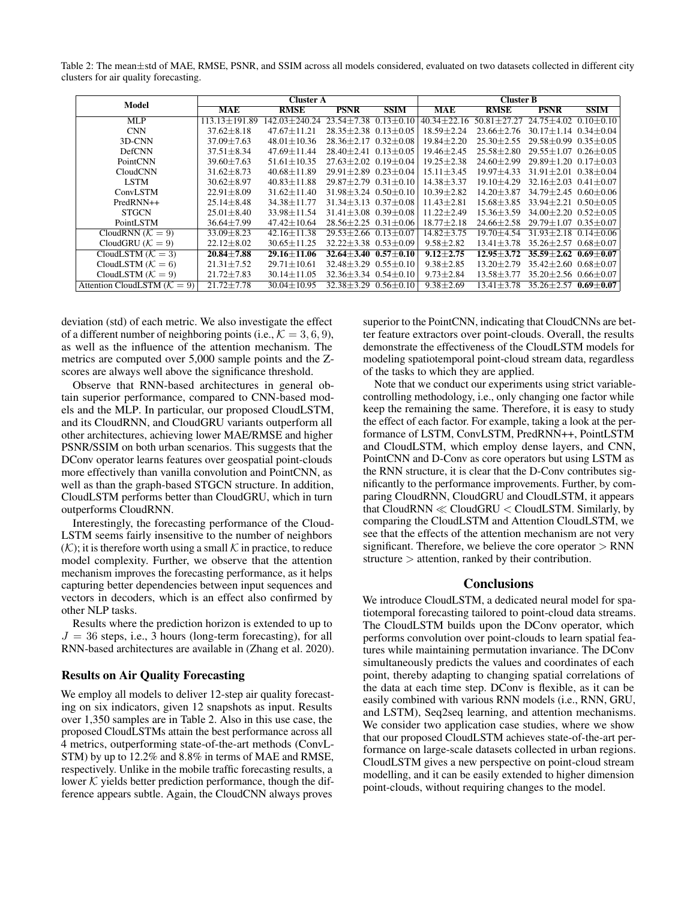Table 2: The mean±std of MAE, RMSE, PSNR, and SSIM across all models considered, evaluated on two datasets collected in different city clusters for air quality forecasting.

| Model                         |                   | <b>Cluster A</b>  | <b>Cluster B</b>                 |                 |                   |                    |                                  |                 |
|-------------------------------|-------------------|-------------------|----------------------------------|-----------------|-------------------|--------------------|----------------------------------|-----------------|
|                               | <b>MAE</b>        | <b>RMSE</b>       | <b>PSNR</b>                      | <b>SSIM</b>     | <b>MAE</b>        | <b>RMSE</b>        | <b>PSNR</b>                      | <b>SSIM</b>     |
| <b>MLP</b>                    | $113.13 + 191.89$ | $142.03 + 240.24$ | $23.54 + 7.38$                   | $0.13 \pm 0.10$ | $40.34 \pm 22.16$ | $50.81 + 27.27$    | $24.75 + 4.02$                   | $0.10 + 0.10$   |
| <b>CNN</b>                    | $37.62 \pm 8.18$  | $47.67 + 11.21$   | $28.35 + 2.38$                   | $0.13 + 0.05$   | $18.59 \pm 2.24$  | $23.66 + 2.76$     | $30.17 \pm 1.14$                 | $0.34 + 0.04$   |
| 3D-CNN                        | $37.09 \pm 7.63$  | $48.01 + 10.36$   | $28.36 + 2.17$                   | $0.32 + 0.08$   | $19.84 + 2.20$    | $25.30 \pm 2.55$   | $29.58 + 0.99$                   | $0.35 + 0.05$   |
| <b>DefCNN</b>                 | $37.51 + 8.34$    | $47.69 \pm 11.44$ | $28.40 + 2.41$                   | $0.13 \pm 0.05$ | $19.46 + 2.45$    | $25.58 + 2.80$     | $29.55 \pm 1.07$                 | $0.26 + 0.05$   |
| PointCNN                      | $39.60 \pm 7.63$  | $51.61 \pm 10.35$ | $27.63 \pm 2.02$ 0.19 $\pm$ 0.04 |                 | $19.25 \pm 2.38$  | $24.60 \pm 2.99$   | $29.89 \pm 1.20$                 | $0.17 + 0.03$   |
| CloudCNN                      | $31.62 \pm 8.73$  | $40.68 \pm 11.89$ | $29.91 \pm 2.89$ 0.23 $\pm$ 0.04 |                 | $15.11 \pm 3.45$  | $19.97 + 4.33$     | $31.91 + 2.01$ $0.38 + 0.04$     |                 |
| <b>LSTM</b>                   | $30.62 \pm 8.97$  | $40.83 \pm 11.88$ | $29.87 \pm 2.79$ $0.31 \pm 0.10$ |                 | $14.38 + 3.37$    | $19.10 + 4.29$     | $32.16 \pm 2.03$ $0.41 \pm 0.07$ |                 |
| ConvLSTM                      | $22.91 \pm 8.09$  | $31.62 + 11.40$   | $31.98 + 3.24$ $0.50 + 0.10$     |                 | $10.39 \pm 2.82$  | $14.20 + 3.87$     | $34.79 \pm 2.45$ 0.60 $\pm$ 0.06 |                 |
| $PredRNN++$                   | $25.14 \pm 8.48$  | $34.38 + 11.77$   | $31.34 \pm 3.13$ $0.37 \pm 0.08$ |                 | $11.43 + 2.81$    | $15.68 + 3.85$     | $33.94 + 2.21$ $0.50 + 0.05$     |                 |
| <b>STGCN</b>                  | $25.01 \pm 8.40$  | $33.98 + 11.54$   | $31.41 + 3.08$ 0.39 + 0.08       |                 | $11.22 + 2.49$    | $15.36 + 3.59$     | $34.00 + 2.20$ $0.52 + 0.05$     |                 |
| PointLSTM                     | $36.64 \pm 7.99$  | $47.42 \pm 10.64$ | $28.56 \pm 2.25$ 0.31 $\pm$ 0.06 |                 | $18.77 \pm 2.18$  | $24.66 \pm 2.58$   | $29.79 + 1.07$                   | $0.35 \pm 0.07$ |
| CloudRNN $(K = 9)$            | $33.09 \pm 8.23$  | $42.16 + 11.38$   | $29.53 + 2.66$                   | $0.13 + 0.07$   | $14.82 + 3.75$    | $19.70 + 4$<br>-54 | $31.93 + 2.18$                   | $0.14 + 0.06$   |
| CloudGRU ( $K = 9$ )          | $22.12 \pm 8.02$  | $30.65 + 11.25$   | $32.22 + 3.38$                   | $0.53 + 0.09$   | $9.58 \pm 2.82$   | $13.41 \pm 3.$     | $35.26 \pm 2.57$                 | $0.68 \pm 0.07$ |
| CloudLSTM $(K = 3)$           | $20.84 + 7.88$    | $29.16 + 11.06$   | $32.64 + 3.40$                   | $0.57 + 0.10$   | $9.12 + 2.75$     | $12.95 + 3.72$     | $35.59 + 2.62$                   | $0.69 + 0.07$   |
| CloudLSTM $(K = 6)$           | $21.31 \pm 7.52$  | $29.71 + 10.61$   | $32.48 + 3.29$                   | $0.55 + 0.10$   | $9.38 \pm 2.85$   | $13.20 + 2.79$     | $35.42 + 2.60$ $0.68 + 0.07$     |                 |
| CloudLSTM $(K = 9)$           | $21.72 \pm 7.83$  | $30.14 \pm 11.05$ | $32.36 \pm 3.34$ $0.54 \pm 0.10$ |                 | $9.73 \pm 2.84$   | 13.58 + 3.77       | $35.20 \pm 2.56$ 0.66 $\pm$ 0.07 |                 |
| Attention CloudLSTM $(K = 9)$ | $21.72 \pm 7.78$  | $30.04 \pm 10.95$ | $32.38 \pm 3.29$                 | $0.56 \pm 0.10$ | $9.38 \pm 2.69$   | $13.41 \pm 3.78$   | $35.26 \pm 2.57$                 | $0.69\pm0.07$   |

deviation (std) of each metric. We also investigate the effect of a different number of neighboring points (i.e.,  $\mathcal{K} = 3, 6, 9$ ), as well as the influence of the attention mechanism. The metrics are computed over 5,000 sample points and the Zscores are always well above the significance threshold.

Observe that RNN-based architectures in general obtain superior performance, compared to CNN-based models and the MLP. In particular, our proposed CloudLSTM, and its CloudRNN, and CloudGRU variants outperform all other architectures, achieving lower MAE/RMSE and higher PSNR/SSIM on both urban scenarios. This suggests that the DConv operator learns features over geospatial point-clouds more effectively than vanilla convolution and PointCNN, as well as than the graph-based STGCN structure. In addition, CloudLSTM performs better than CloudGRU, which in turn outperforms CloudRNN.

Interestingly, the forecasting performance of the Cloud-LSTM seems fairly insensitive to the number of neighbors  $(K)$ ; it is therefore worth using a small K in practice, to reduce model complexity. Further, we observe that the attention mechanism improves the forecasting performance, as it helps capturing better dependencies between input sequences and vectors in decoders, which is an effect also confirmed by other NLP tasks.

Results where the prediction horizon is extended to up to  $J = 36$  steps, i.e., 3 hours (long-term forecasting), for all RNN-based architectures are available in (Zhang et al. 2020).

#### Results on Air Quality Forecasting

We employ all models to deliver 12-step air quality forecasting on six indicators, given 12 snapshots as input. Results over 1,350 samples are in Table 2. Also in this use case, the proposed CloudLSTMs attain the best performance across all 4 metrics, outperforming state-of-the-art methods (ConvL-STM) by up to 12.2% and 8.8% in terms of MAE and RMSE, respectively. Unlike in the mobile traffic forecasting results, a lower  $K$  yields better prediction performance, though the difference appears subtle. Again, the CloudCNN always proves

superior to the PointCNN, indicating that CloudCNNs are better feature extractors over point-clouds. Overall, the results demonstrate the effectiveness of the CloudLSTM models for modeling spatiotemporal point-cloud stream data, regardless of the tasks to which they are applied.

Note that we conduct our experiments using strict variablecontrolling methodology, i.e., only changing one factor while keep the remaining the same. Therefore, it is easy to study the effect of each factor. For example, taking a look at the performance of LSTM, ConvLSTM, PredRNN++, PointLSTM and CloudLSTM, which employ dense layers, and CNN, PointCNN and D-Conv as core operators but using LSTM as the RNN structure, it is clear that the D-Conv contributes significantly to the performance improvements. Further, by comparing CloudRNN, CloudGRU and CloudLSTM, it appears that  $CloudRNN \ll CloudGRU \lt CloudLSTM$ . Similarly, by comparing the CloudLSTM and Attention CloudLSTM, we see that the effects of the attention mechanism are not very significant. Therefore, we believe the core operator  $>$  RNN structure > attention, ranked by their contribution.

#### **Conclusions**

We introduce CloudLSTM, a dedicated neural model for spatiotemporal forecasting tailored to point-cloud data streams. The CloudLSTM builds upon the DConv operator, which performs convolution over point-clouds to learn spatial features while maintaining permutation invariance. The DConv simultaneously predicts the values and coordinates of each point, thereby adapting to changing spatial correlations of the data at each time step. DConv is flexible, as it can be easily combined with various RNN models (i.e., RNN, GRU, and LSTM), Seq2seq learning, and attention mechanisms. We consider two application case studies, where we show that our proposed CloudLSTM achieves state-of-the-art performance on large-scale datasets collected in urban regions. CloudLSTM gives a new perspective on point-cloud stream modelling, and it can be easily extended to higher dimension point-clouds, without requiring changes to the model.